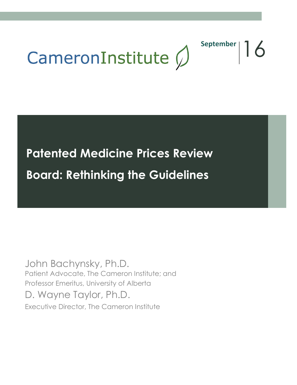

September | 16

[Type text]

# **Patented Medicine Prices Review Board: Rethinking the Guidelines**

John Bachynsky, Ph.D. Patient Advocate, The Cameron Institute; and Professor Emeritus, University of Alberta D. Wayne Taylor, Ph.D. Executive Director, The Cameron Institute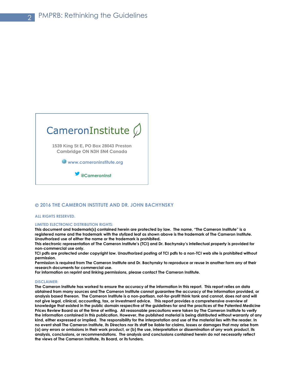

#### **2016 THE CAMERON INSTITUTE AND DR. JOHN BACHYNSKY**

#### **ALL RIGHTS RESERVED.**

#### **LIMITED ELECTRONIC DISTRIBUTION RIGHTS:**

**This document and trademark(s) contained herein are protected by law. The name, "The Cameron Institute" is a registered name and the trademark with the stylized leaf as shown above is the trademark of The Cameron Institute. Unauthorized use of either the name or the trademark is prohibited.**

**This electronic representation of The Cameron Institute's (TCI) and Dr. Bachynsky's intellectual property is provided for non-commercial use only.**

**TCI pdfs are protected under copyright law. Unauthorized posting of TCI pdfs to a non-TCI web site is prohibited without permission.**

**Permission is required from The Cameron Institute and Dr. Bachynsky to reproduce or reuse in another form any of their research documents for commercial use.** 

**For information on reprint and linking permissions, please contact The Cameron Institute.**

#### **DISCLAIMER:**

**The Cameron Institute has worked to ensure the accuracy of the information in this report. This report relies on data obtained from many sources and The Cameron Institute cannot guarantee the accuracy of the information provided, or analysis based thereon. The Cameron Institute is a non-partisan, not-for-profit think tank and cannot, does not and will not give legal, clinical, accounting, tax, or investment advice. This report provides a comprehensive overview of knowledge that existed in the public domain respective of the guidelines for and the practices of the Patented Medicine Prices Review Board as of the time of writing. All reasonable precautions were taken by The Cameron Institute to verify the information contained in this publication. However, the published material is being distributed without warranty of any kind, either expressed or implied. The responsibility for the interpretation and use of the material lies with the reader. In no event shall The Cameron Institute, its Directors nor its staff be liable for claims, losses or damages that may arise from (a) any errors or omissions in their work product, or (b) the use, interpretation or dissemination of any work product, its analysis, conclusions, or recommendations. The analysis and conclusions contained herein do not necessarily reflect the views of The Cameron Institute, its Board, or its funders.**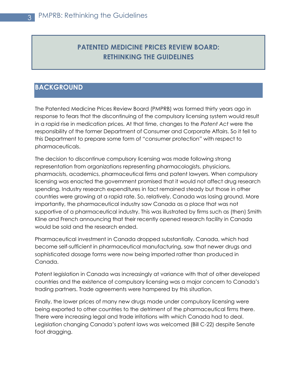# **PATENTED MEDICINE PRICES REVIEW BOARD: RETHINKING THE GUIDELINES**

# **BACKGROUND**

The Patented Medicine Prices Review Board (PMPRB) was formed thirty years ago in response to fears that the discontinuing of the compulsory licensing system would result in a rapid rise in medication prices. At that time, changes to the *Patent Act* were the responsibility of the former Department of Consumer and Corporate Affairs. So it fell to this Department to prepare some form of "consumer protection" with respect to pharmaceuticals.

The decision to discontinue compulsory licensing was made following strong representation from organizations representing pharmacologists, physicians, pharmacists, academics, pharmaceutical firms and patent lawyers. When compulsory licensing was enacted the government promised that it would not affect drug research spending. Industry research expenditures in fact remained steady but those in other countries were growing at a rapid rate. So, relatively, Canada was losing ground. More importantly, the pharmaceutical industry saw Canada as a place that was not supportive of a pharmaceutical industry. This was illustrated by firms such as (then) Smith Kline and French announcing that their recently opened research facility in Canada would be sold and the research ended.

Pharmaceutical investment in Canada dropped substantially. Canada, which had become self-sufficient in pharmaceutical manufacturing, saw that newer drugs and sophisticated dosage forms were now being imported rather than produced in Canada.

Patent legislation in Canada was increasingly at variance with that of other developed countries and the existence of compulsory licensing was a major concern to Canada's trading partners. Trade agreements were hampered by this situation.

Finally, the lower prices of many new drugs made under compulsory licensing were being exported to other countries to the detriment of the pharmaceutical firms there. There were increasing legal and trade irritations with which Canada had to deal. Legislation changing Canada's patent laws was welcomed (Bill C-22) despite Senate foot dragging.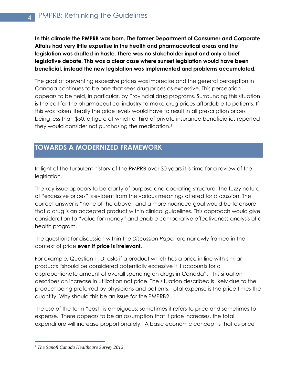**In this climate the PMPRB was born. The former Department of Consumer and Corporate Affairs had very little expertise in the health and pharmaceutical areas and the legislation was drafted in haste. There was no stakeholder input and only a brief legislative debate. This was a clear case where sunset legislation would have been beneficial, instead the new legislation was implemented and problems accumulated.**

The goal of preventing excessive prices was imprecise and the general perception in Canada continues to be one that sees drug prices as excessive. This perception appears to be held, in particular, by Provincial drug programs. Surrounding this situation is the call for the pharmaceutical industry to make drug prices affordable to patients. If this was taken literally the price levels would have to result in all prescription prices being less than \$50, a figure at which a third of private insurance beneficiaries reported they would consider not purchasing the medication.<sup>1</sup>

# **TOWARDS A MODERNIZED FRAMEWORK**

In light of the turbulent history of the PMPRB over 30 years it is time for a review of the legislation.

The key issue appears to be clarity of purpose and operating structure. The fuzzy nature of "excessive prices" is evident from the various meanings offered for discussion. The correct answer is "none of the above" and a more nuanced goal would be to ensure that a drug is an accepted product within clinical guidelines. This approach would give consideration to "value for money" and enable comparative effectiveness analysis of a health program.

The questions for discussion within the *Discussion Paper* are narrowly framed in the context of price **even if price is irrelevant.**

For example, Question 1. D. asks if a product which has a price in line with similar products "should be considered potentially excessive if it accounts for a disproportionate amount of overall spending on drugs in Canada". This situation describes an increase in utilization not price. The situation described is likely due to the product being preferred by physicians and patients. Total expense is the price times the quantity. Why should this be an issue for the PMPRB?

The use of the term "cost" is ambiguous; sometimes it refers to price and sometimes to expense. There appears to be an assumption that if price increases, the total expenditure will increase proportionately. A basic economic concept is that as price

 $\overline{a}$ <sup>1</sup> *The Sanofi Canada Healthcare Survey 2012*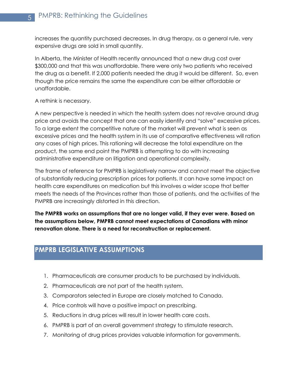increases the quantity purchased decreases. In drug therapy, as a general rule, very expensive drugs are sold in small quantity.

In Alberta, the Minister of Health recently announced that a new drug cost over \$300,000 and that this was unaffordable. There were only two patients who received the drug as a benefit. If 2,000 patients needed the drug it would be different. So, even though the price remains the same the expenditure can be either affordable or unaffordable.

## A rethink is necessary.

A new perspective is needed in which the health system does not revolve around drug price and avoids the concept that one can easily identify and "solve" excessive prices. To a large extent the competitive nature of the market will prevent what is seen as excessive prices and the health system in its use of comparative effectiveness will ration any cases of high prices. This rationing will decrease the total expenditure on the product, the same end point the PMPRB is attempting to do with increasing administrative expenditure on litigation and operational complexity.

The frame of reference for PMPRB is legislatively narrow and cannot meet the objective of substantially reducing prescription prices for patients. It can have some impact on health care expenditures on medication but this involves a wider scope that better meets the needs of the Provinces rather than those of patients, and the activities of the PMPRB are increasingly distorted in this direction.

**The PMPRB works on assumptions that are no longer valid, if they ever were. Based on the assumptions below, PMPRB cannot meet expectations of Canadians with minor renovation alone. There is a need for reconstruction or replacement.**

# **PMPRB LEGISLATIVE ASSUMPTIONS**

- 1. Pharmaceuticals are consumer products to be purchased by individuals.
- 2. Pharmaceuticals are not part of the health system.
- 3. Comparators selected in Europe are closely matched to Canada.
- 4. Price controls will have a positive impact on prescribing.
- 5. Reductions in drug prices will result in lower health care costs.
- 6. PMPRB is part of an overall government strategy to stimulate research.
- 7. Monitoring of drug prices provides valuable information for governments.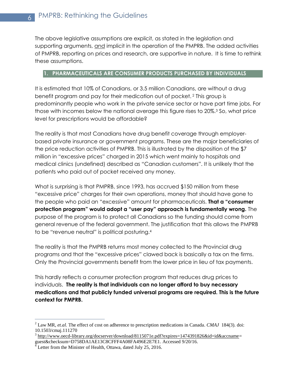The above legislative assumptions are explicit, as stated in the legislation and supporting arguments, and implicit in the operation of the PMPRB. The added activities of PMPRB, reporting on prices and research, are supportive in nature. It is time to rethink these assumptions.

# **1. PHARMACEUTICALS ARE CONSUMER PRODUCTS PURCHASED BY INDIVIDUALS**

It is estimated that 10% of Canadians, or 3.5 million Canadians, are without a drug benefit program and pay for their medication out of pocket. <sup>2</sup> This group is predominantly people who work in the private service sector or have part time jobs. For those with incomes below the national average this figure rises to 20%.<sup>3</sup> So, what price level for prescriptions would be affordable?

The reality is that most Canadians have drug benefit coverage through employerbased private insurance or government programs. These are the major beneficiaries of the price reduction activities of PMPRB. This is illustrated by the disposition of the \$7 million in "excessive prices" charged in 2015 which went mainly to hospitals and medical clinics (undefined) described as "Canadian customers". It is unlikely that the patients who paid out of pocket received any money.

What is surprising is that PMPRB, since 1993, has accrued \$150 million from these "excessive price" charges for their own operations, money that should have gone to the people who paid an "excessive" amount for pharmaceuticals. **That a "consumer protection program" would adopt a "user pay" approach is fundamentally wrong.** The purpose of the program is to protect all Canadians so the funding should come from general revenue of the federal government. The justification that this allows the PMPRB to be "revenue neutral" is political posturing.<sup>4</sup>

The reality is that the PMPRB returns most money collected to the Provincial drug programs and that the "excessive prices" clawed back is basically a tax on the firms. Only the Provincial governments benefit from the lower price in lieu of tax payments.

This hardly reflects a consumer protection program that reduces drug prices to individuals. **The reality is that individuals can no longer afford to buy necessary medications and that publicly funded universal programs are required. This is the future context for PMPRB.**

<sup>2</sup> Law MR, *et.al.* The effect of cost on adherence to prescription medications in Canada. *CMAJ* 184(3). doi: 10.1503/cmaj.111270

<sup>&</sup>lt;sup>3</sup> [http://www.oecd-library.org/docserver/download/8115071e.pdf?expires=1474391826&id=id&accname=](http://www.oecd-library.org/docserver/download/8115071e.pdf?expires=1474391826&id=id&accname) guest&checksum=D758DA1AE13C8CFFF4A08FA496E2E7E1. Accessed 9/20/16.

 $^{4}$  Letter from the Minister of Health, Ottawa, dated July 25, 2016.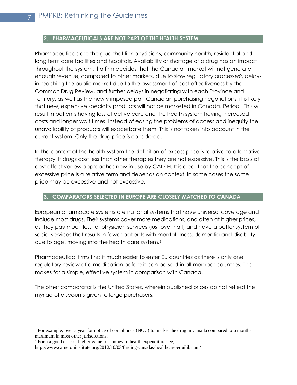7

 $\overline{a}$ 

## **2. PHARMACEUTICALS ARE NOT PART OF THE HEALTH SYSTEM**

Pharmaceuticals are the glue that link physicians, community health, residential and long term care facilities and hospitals. Availability or shortage of a drug has an impact throughout the system. If a firm decides that the Canadian market will not generate enough revenue, compared to other markets, due to slow regulatory processes<sup>5</sup>, delays in reaching the public market due to the assessment of cost effectiveness by the Common Drug Review, and further delays in negotiating with each Province and Territory, as well as the newly imposed pan Canadian purchasing negotiations, it is likely that new, expensive specialty products will not be marketed in Canada. Period. This will result in patients having less effective care and the health system having increased costs and longer wait times. Instead of easing the problems of access and inequity the unavailability of products will exacerbate them. This is not taken into account in the current system. Only the drug price is considered.

In the context of the health system the definition of excess price is relative to alternative therapy. If drugs cost less than other therapies they are not excessive. This is the basis of cost effectiveness approaches now in use by CADTH. It is clear that the concept of excessive price is a relative term and depends on context. In some cases the same price may be excessive and not excessive.

## **3. COMPARATORS SELECTED IN EUROPE ARE CLOSELY MATCHED TO CANADA**

European pharmacare systems are national systems that have universal coverage and include most drugs. Their systems cover more medications, and often at higher prices, as they pay much less for physician services (just over half) and have a better system of social services that results in fewer patients with mental illness, dementia and disability, due to age, moving into the health care system.<sup>6</sup>

Pharmaceutical firms find it much easier to enter EU countries as there is only one regulatory review of a medication before it can be sold in all member countries. This makes for a simple, effective system in comparison with Canada.

The other comparator is the United States, wherein published prices do not reflect the myriad of discounts given to large purchasers.

<sup>&</sup>lt;sup>5</sup> For example, over a year for notice of compliance (NOC) to market the drug in Canada compared to 6 months maximum in most other jurisdictions.

 $6$  For a a good case of higher value for money in health expenditure see,

http://www.cameroninstitute.org/2012/10/03/finding-canadas-healthcare-equilibrium/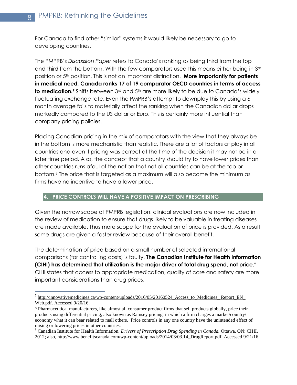For Canada to find other "similar" systems it would likely be necessary to go to developing countries.

The PMPRB's *Discussion Paper* refers to Canada's ranking as being third from the top and third from the bottom. With the few comparators used this means either being in 3rd position or 5th position. This is not an important distinction. **More importantly for patients in medical need, Canada ranks 17 of 19 comparator OECD countries in terms of access to medication.**<sup>7</sup> Shifts between 3<sup>rd</sup> and 5<sup>th</sup> are more likely to be due to Canada's widely fluctuating exchange rate. Even the PMPRB's attempt to downplay this by using a 6 month average fails to materially affect the ranking when the Canadian dollar drops markedly compared to the US dollar or Euro. This is certainly more influential than company pricing policies.

Placing Canadian pricing in the mix of comparators with the view that they always be in the bottom is more mechanistic than realistic. There are a lot of factors at play in all countries and even if pricing was correct at the time of the decision it may not be in a later time period. Also, the concept that a country should try to have lower prices than other countries runs afoul of the notion that not all countries can be at the top or bottom.<sup>8</sup> The price that is targeted as a maximum will also become the minimum as firms have no incentive to have a lower price.

## **4. PRICE CONTROLS WILL HAVE A POSITIVE IMPACT ON PRESCRIBING**

Given the narrow scope of PMPRB legislation, clinical evaluations are now included in the review of medication to ensure that drugs likely to be valuable in treating diseases are made available. Thus more scope for the evaluation of price is provided. As a result some drugs are given a faster review because of their overall benefit.

The determination of price based on a small number of selected international comparisons (for controlling costs) is faulty. **The Canadian Institute for Health Information (CIHI) has determined that utilization is the major driver of total drug spend, not price**. 9 CIHI states that access to appropriate medication, quality of care and safety are more important considerations than drug prices.

 $^7$  http://innovativemedicines.ca/wp-content/uploads/2016/05/20160524 Access to Medicines Report EN [Web.pdf.](http://innovativemedicines.ca/wp-content/uploads/2016/05/20160524_Access_to_Medicines_%20Report_EN_%20Web.pdf) Accessed 9/20/16.

<sup>8</sup> Pharmaceutical manufacturers, like almost all consumer product firms that sell products globally, price their products using differential pricing, also known as Ramsey pricing, in which a firm charges a market/country/ economy what it can bear related to mall others. Price controls in any one country have the unintended effect of raising or lowering prices in other countries.

<sup>9</sup> Canadian Institute for Health Information. *Drivers of Prescription Drug Spending in Canada.* Ottawa, ON: CIHI, 2012; also, [http://www.benefitscanada.com/wp-content/uploads/2014/03/03.14\\_DrugReport.pdf](http://www.benefitscanada.com/wp-content/uploads/2014/03/03.14_DrugReport.pdf) Accessed 9/21/16.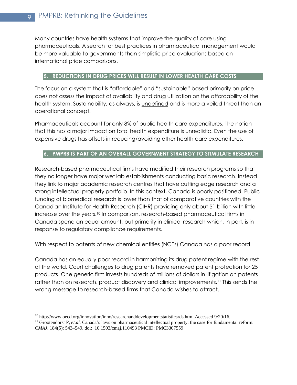Many countries have health systems that improve the quality of care using pharmaceuticals. A search for best practices in pharmaceutical management would be more valuable to governments than simplistic price evaluations based on international price comparisons.

## **5. REDUCTIONS IN DRUG PRICES WILL RESULT IN LOWER HEALTH CARE COSTS**

The focus on a system that is "affordable" and "sustainable" based primarily on price does not assess the impact of availability and drug utilization on the affordability of the health system. Sustainability, as always, is undefined and is more a veiled threat than an operational concept.

Pharmaceuticals account for only 8% of public health care expenditures. The notion that this has a major impact on total health expenditure is unrealistic. Even the use of expensive drugs has offsets in reducing/avoiding other health care expenditures.

# **6. PMPRB IS PART OF AN OVERALL GOVERNMENT STRATEGY TO STIMULATE RESEARCH**

Research-based pharmaceutical firms have modified their research programs so that they no longer have major wet lab establishments conducting basic research. Instead they link to major academic research centres that have cutting edge research and a strong intellectual property portfolio. In this context, Canada is poorly positioned. Public funding of biomedical research is lower than that of comparative countries with the Canadian Institute for Health Research (CIHR) providing only about \$1 billion with little increase over the years. <sup>10</sup> In comparison, research-based pharmaceutical firms in Canada spend an equal amount, but primarily in clinical research which, in part, is in response to regulatory compliance requirements.

With respect to patents of new chemical entities (NCEs) Canada has a poor record.

Canada has an equally poor record in harmonizing its drug patent regime with the rest of the world. Court challenges to drug patents have removed patent protection for 25 products. One generic firm invests hundreds of millions of dollars in litigation on patents rather than on research, product discovery and clinical improvements.<sup>11</sup> This sends the wrong message to research-based firms that Canada wishes to attract.

<sup>&</sup>lt;sup>10</sup> [http://www.oecd.org/innovation/inno/researchanddevelopmentstatisticsrds.htm.](http://www.oecd.org/innovation/inno/researchanddevelopmentstatisticsrds.htm) Accessed 9/20/16.

<sup>&</sup>lt;sup>11</sup> [Grootendorst](http://www.ncbi.nlm.nih.gov/pubmed/?term=Grootendorst%20P%5BAuthor%5D&cauthor=true&cauthor_uid=22065362) P, et.al. Canada's laws on pharmaceutical intellectual property: the case for fundamental reform. *[CMAJ](http://www.ncbi.nlm.nih.gov/pmc/articles/PMC3307559/)*. 184(5): 543–549. doi: [10.1503/cmaj.110493](http://dx.doi.org/10.1503%2Fcmaj.110493) PMCID: PMC3307559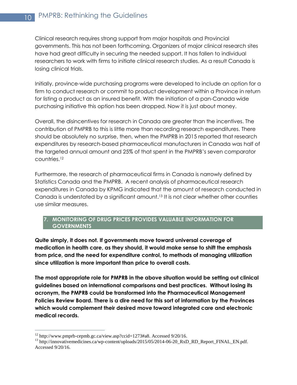Clinical research requires strong support from major hospitals and Provincial governments. This has not been forthcoming. Organizers of major clinical research sites have had great difficulty in securing the needed support. It has fallen to individual researchers to work with firms to initiate clinical research studies. As a result Canada is losing clinical trials.

Initially, province-wide purchasing programs were developed to include an option for a firm to conduct research or commit to product development within a Province in return for listing a product as an insured benefit. With the initiation of a pan-Canada wide purchasing initiative this option has been dropped. Now it is just about money.

Overall, the disincentives for research in Canada are greater than the incentives. The contribution of PMPRB to this is little more than recording research expenditures. There should be absolutely no surprise, then, when the PMPRB in 2015 reported that research expenditures by research-based pharmaceutical manufacturers in Canada was half of the targeted annual amount and 25% of that spent in the PMPRB's seven comparator countries.<sup>12</sup>

Furthermore, the research of pharmaceutical firms in Canada is narrowly defined by Statistics Canada and the PMPRB. A recent analysis of pharmaceutical research expenditures in Canada by KPMG indicated that the amount of research conducted in Canada is understated by a significant amount.<sup>13</sup> It is not clear whether other counties use similar measures.

# **7. MONITORING OF DRUG PRICES PROVIDES VALUABLE INFORMATION FOR GOVERNMENTS**

**Quite simply, it does not. If governments move toward universal coverage of medication in health care, as they should, it would make sense to shift the emphasis from price, and the need for expenditure control, to methods of managing utilization since utilization is more important than price to overall costs.**

**The most appropriate role for PMPRB in the above situation would be setting out clinical guidelines based on international comparisons and best practices. Without losing its acronym, the PMPRB could be transformed into the Pharmaceutical Management Policies Review Board. There is a dire need for this sort of information by the Provinces which would complement their desired move toward integrated care and electronic medical records.** 

<sup>12</sup> [http://www.pmprb-cepmb.gc.ca/view.asp?ccid=1273#a8.](http://www.pmprb-cepmb.gc.ca/view.asp?ccid=1273#a8) Accessed 9/20/16.

<sup>&</sup>lt;sup>13</sup> http://innovativemedicines.ca/wp-content/uploads/2015/05/2014-06-20\_RxD\_RD\_Report\_FINAL\_EN.pdf. Accessed 9/20/16.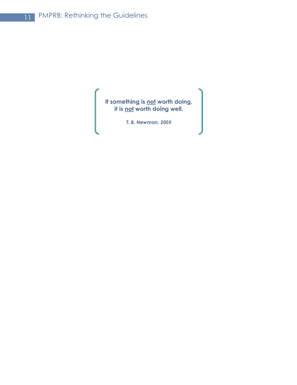**If something is not worth doing, it is not worth doing well.**

*T. B. Newman, 2005*